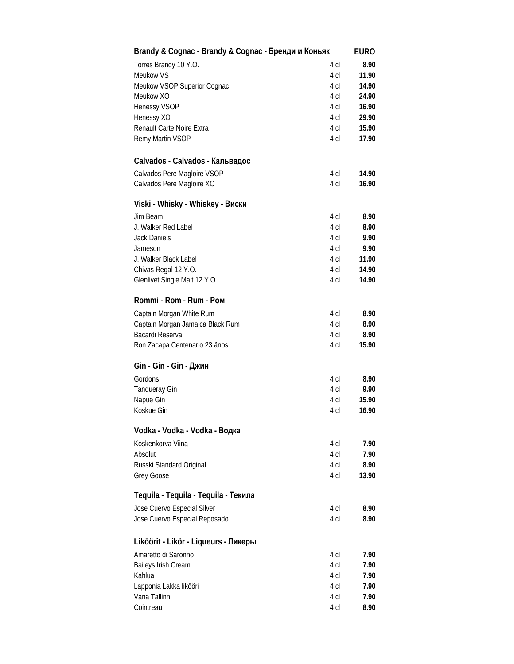| Brandy & Cognac - Brandy & Cognac - Бренди и Коньяк |                 | <b>EURO</b> |
|-----------------------------------------------------|-----------------|-------------|
| Torres Brandy 10 Y.O.                               | 4 cl            | 8.90        |
| <b>Meukow VS</b>                                    | 4 cl            | 11.90       |
| Meukow VSOP Superior Cognac                         | 4 cl            | 14.90       |
| Meukow XO                                           | 4 cl            | 24.90       |
| <b>Henessy VSOP</b>                                 | 4 <sub>cl</sub> | 16.90       |
| Henessy XO                                          | 4 cl            | 29.90       |
| Renault Carte Noire Extra                           | 4 cl            | 15.90       |
| Remy Martin VSOP                                    | 4 cl            | 17.90       |
| Calvados - Calvados - Кальвадос                     |                 |             |
| Calvados Pere Magloire VSOP                         | 4 cl            | 14.90       |
| Calvados Pere Magloire XO                           | 4 cl            | 16.90       |
| Viski - Whisky - Whiskey - Виски                    |                 |             |
| Jim Beam                                            | 4 cl            | 8.90        |
| J. Walker Red Label                                 | 4 cl            | 8.90        |
| <b>Jack Daniels</b>                                 | 4 cl            | 9.90        |
| Jameson                                             | 4 cl            | 9.90        |
| J. Walker Black Label                               | 4 cl            | 11.90       |
| Chivas Regal 12 Y.O.                                | 4 cl            | 14.90       |
| Glenlivet Single Malt 12 Y.O.                       | 4 cl            | 14.90       |
| Rommi - Rom - Rum - Ром                             |                 |             |
| Captain Morgan White Rum                            | 4 cl            | 8.90        |
| Captain Morgan Jamaica Black Rum                    | 4 cl            | 8.90        |
| Bacardi Reserva                                     | 4 cl            | 8.90        |
| Ron Zacapa Centenario 23 ãnos                       | 4 cl            | 15.90       |
| Gin - Gin - Gin - <b>Джин</b>                       |                 |             |
| Gordons                                             | 4 cl            | 8.90        |
| <b>Tanqueray Gin</b>                                | 4 cl            | 9.90        |
| Napue Gin                                           | 4 cl            | 15.90       |
| Koskue Gin                                          | 4 cl            | 16.90       |
| Vodka - Vodka - Vodka - Водка                       |                 |             |
| Koskenkorva Viina                                   | 4 cl            | 7.90        |
| Absolut                                             | 4 <sub>cl</sub> | 7.90        |
| Russki Standard Original                            | 4 cl            | 8.90        |
| Grey Goose                                          | 4 cl            | 13.90       |
| Tequila - Tequila - Tequila - Текила                |                 |             |
| Jose Cuervo Especial Silver                         | 4 cl            | 8.90        |
| Jose Cuervo Especial Reposado                       | 4 cl            | 8.90        |
| Liköörit - Likör - Liqueurs - Ликеры                |                 |             |
| Amaretto di Saronno                                 | 4 cl            | 7.90        |
| Baileys Irish Cream                                 | 4 cl            | 7.90        |
| Kahlua                                              | 4 cl            | 7.90        |
| Lapponia Lakka likööri                              | 4 cl            | 7.90        |
| Vana Tallinn                                        | 4 cl            | 7.90        |
| Cointreau                                           | 4 cl            | 8.90        |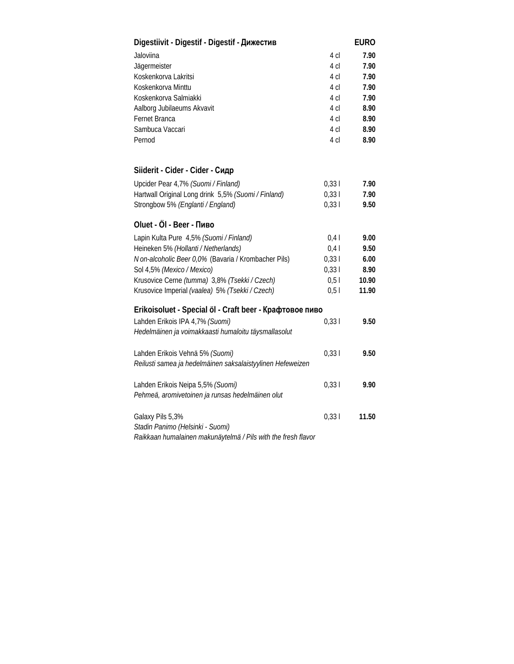| Digestiivit - Digestif - Digestif - Дижестив                  |                 | <b>EURO</b> |
|---------------------------------------------------------------|-----------------|-------------|
| Jaloviina                                                     | 4 cl            | 7.90        |
| Jägermeister                                                  | 4 cl            | 7.90        |
| Koskenkorva Lakritsi                                          | 4 cl            | 7.90        |
| Koskenkorva Minttu                                            | 4 cl            | 7.90        |
| Koskenkorva Salmiakki                                         | 4 <sub>cl</sub> | 7.90        |
| Aalborg Jubilaeums Akvavit                                    | 4 cl            | 8.90        |
| Fernet Branca                                                 | 4 <sub>cl</sub> | 8.90        |
| Sambuca Vaccari                                               | 4 cl            | 8.90        |
| Pernod                                                        | 4 cl            | 8.90        |
| Siiderit - Cider - Cider - Сидр                               |                 |             |
| Upcider Pear 4,7% (Suomi / Finland)                           | 0,331           | 7.90        |
| Hartwall Original Long drink 5,5% (Suomi / Finland)           | 0,331           | 7.90        |
| Strongbow 5% (Englanti / England)                             | 0,331           | 9.50        |
| Oluet - Öl - Beer - Пиво                                      |                 |             |
| Lapin Kulta Pure 4,5% (Suomi / Finland)                       | 0,4             | 9.00        |
| Heineken 5% (Hollanti / Netherlands)                          | 0,4             | 9.50        |
| N on-alcoholic Beer 0,0% (Bavaria / Krombacher Pils)          | 0,331           | 6.00        |
| Sol 4,5% (Mexico / Mexico)                                    | 0,331           | 8.90        |
| Krusovice Cerne (tumma) 3,8% (Tsekki / Czech)                 | 0,51            | 10.90       |
| Krusovice Imperial (vaalea) 5% (Tsekki / Czech)               | 0,51            | 11.90       |
| Erikoisoluet - Special öl - Craft beer - Крафтовое пиво       |                 |             |
| Lahden Erikois IPA 4,7% (Suomi)                               | 0,331           | 9.50        |
| Hedelmäinen ja voimakkaasti humaloitu täysmallasolut          |                 |             |
| Lahden Erikois Vehnä 5% (Suomi)                               | 0,331           | 9.50        |
| Reilusti samea ja hedelmäinen saksalaistyylinen Hefeweizen    |                 |             |
| Lahden Erikois Neipa 5,5% (Suomi)                             | 0,331           | 9.90        |
| Pehmeä, aromivetoinen ja runsas hedelmäinen olut              |                 |             |
| Galaxy Pils 5,3%                                              | 0,331           | 11.50       |
| Stadin Panimo (Helsinki - Suomi)                              |                 |             |
| Raikkaan humalainen makunäytelmä / Pils with the fresh flavor |                 |             |